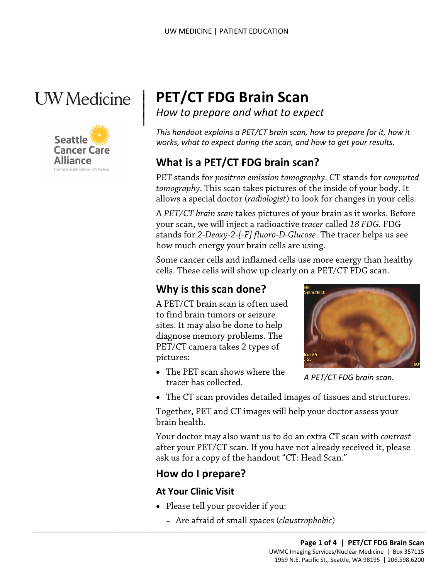# **UW** Medicine

 $\vert$  $\parallel$ 



# | **PET/CT FDG Brain Scan**

*How to prepare and what to expect* 

*This handout explains a PET/CT brain scan, how to prepare for it, how it works, what to expect during the scan, and how to get your results.* 

# **What is a PET/CT FDG brain scan?**

 *tomography*. This scan takes pictures of the inside of your body. It PET stands for *positron emission tomography*. CT stands for *computed*  allows a special doctor (*radiologist*) to look for changes in your cells.

A *PET/CT brain scan* takes pictures of your brain as it works. I<br>your scan, we will inject a radioactive *tracer* called 18 *FDG*. FL<br>stands for 2-*Deoxy*-2-[<sup>1</sup>*F] fluoro-D-Glucose*. The tracer helps us<br>how much energy y A *PET/CT brain scan* takes pictures of your brain as it works. Before your scan, we will inject a radioactive *tracer* called *18 FDG*. FDG stands for *2-Deoxy-2-[18F] fluoro-D-Glucose*. The tracer helps us see how much energy your brain cells are using.

 cells. These cells will show up clearly on a PET/CT FDG scan. Some cancer cells and inflamed cells use more energy than healthy

### **Why is this scan done?**

A PET/CT brain scan is often used to find brain tumors or seizure sites. It may also be done to help diagnose memory problems. The PET/CT camera takes 2 types of pictures:

 • The PET scan shows where the tracer has collected.



 *A PET/CT FDG brain scan.* 

• The CT scan provides detailed images of tissues and structures.

 Together, PET and CT images will help your doctor assess your brain health.

 after your PET/CT scan. If you have not already received it, please Your doctor may also want us to do an extra CT scan with *contrast*  ask us for a copy of the handout "CT: Head Scan."

## **How do I prepare?**

#### **At Your Clinic Visit**

• Please tell your provider if you:

 $\_$  , and the set of the set of the set of the set of the set of the set of the set of the set of the set of the set of the set of the set of the set of the set of the set of the set of the set of the set of the set of th

– Are afraid of small spaces (*claustrophobic*)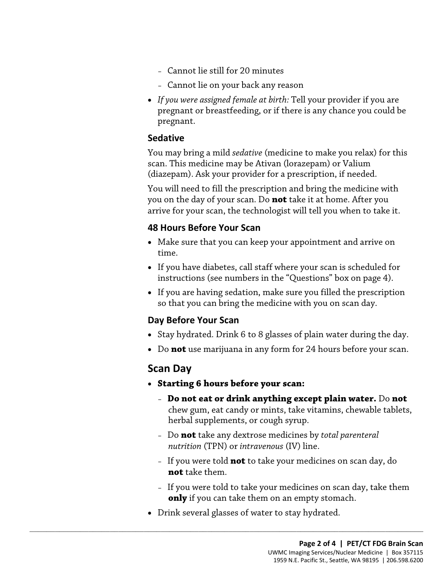- Cannot lie still for 20 minutes
- Cannot lie on your back any reason
- *If you were assigned female at birth:* Tell your provider if you are pregnant or breastfeeding, or if there is any chance you could be pregnant.

#### **Sedative**

You may bring a mild *sedative* (medicine to make you relax) for this scan. This medicine may be Ativan (lorazepam) or Valium (diazepam). Ask your provider for a prescription, if needed.

 arrive for your scan, the technologist will tell you when to take it. You will need to fill the prescription and bring the medicine with you on the day of your scan. Do **not** take it at home. After you

#### **48 Hours Before Your Scan**

- Make sure that you can keep your appointment and arrive on time.
- instructions (see numbers in the "Questions" box on page 4). arrive for your scan, the technologist will tell you when to take it.<br>
48 Hours Before Your Scan<br>
• Make sure that you can keep your appointment and arrive on<br>
time.<br>
• If you have diabetes, call staff where your scan is s • If you have diabetes, call staff where your scan is scheduled for
	- so that you can bring the medicine with you on scan day. • If you are having sedation, make sure you filled the prescription

#### **Day Before Your Scan**

- Stay hydrated. Drink 6 to 8 glasses of plain water during the day.
- Do **not** use marijuana in any form for 24 hours before your scan.

#### **Scan Day**

- **Starting 6 hours before your scan:** 
	- **Do not eat or drink anything except plain water.** Do **not**  chew gum, eat candy or mints, take vitamins, chewable tablets, herbal supplements, or cough syrup.
	- *nutrition* (TPN) or *intravenous* (IV) line. – Do **not** take any dextrose medicines by *total parenteral*
	- If you were told **not** to take your medicines on scan day, do **not** take them.
	- If you were told to take your medicines on scan day, take them **only** if you can take them on an empty stomach.
- Drink several glasses of water to stay hydrated.

 $\_$  ,  $\_$  ,  $\_$  ,  $\_$  ,  $\_$  ,  $\_$  ,  $\_$  ,  $\_$  ,  $\_$  ,  $\_$  ,  $\_$  ,  $\_$  ,  $\_$  ,  $\_$  ,  $\_$  ,  $\_$  ,  $\_$  ,  $\_$  ,  $\_$  ,  $\_$  ,  $\_$  ,  $\_$  ,  $\_$  ,  $\_$  ,  $\_$  ,  $\_$  ,  $\_$  ,  $\_$  ,  $\_$  ,  $\_$  ,  $\_$  ,  $\_$  ,  $\_$  ,  $\_$  ,  $\_$  ,  $\_$  ,  $\_$  ,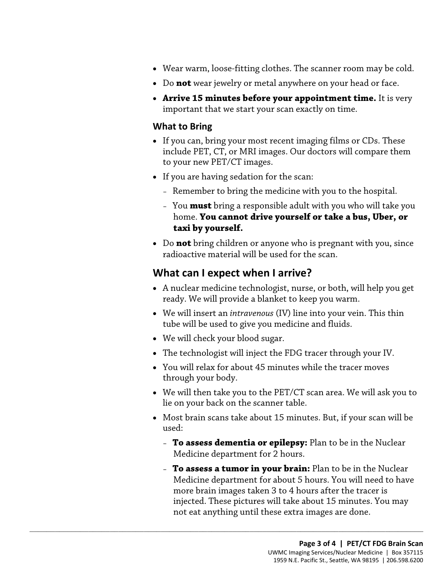- Wear warm, loose-fitting clothes. The scanner room may be cold.
- Do **not** wear jewelry or metal anywhere on your head or face.
- **Arrive 15 minutes before your appointment time.** It is very important that we start your scan exactly on time.

#### **What to Bring**

- • If you can, bring your most recent imaging films or CDs. These include PET, CT, or MRI images. Our doctors will compare them to your new PET/CT images.
- If you are having sedation for the scan:
	- Remember to bring the medicine with you to the hospital.
- – You **must** bring a responsible adult with you who will take you  home. **You cannot drive yourself or take a bus, Uber, or**  home. You cannot drive yourself or take a bus, Uber, c<br>taxi by yourself.<br>• Do not bring children or anyone who is pregnant with you, sin<br>radioactive material will be used for the scan.<br>What can I expect when I arrive?<br>• A **taxi by yourself.** 
	- • Do **not** bring children or anyone who is pregnant with you, since radioactive material will be used for the scan.

#### **What can I expect when I arrive?**

- ready. We will provide a blanket to keep you warm. • A nuclear medicine technologist, nurse, or both, will help you get
- • We will insert an *intravenous* (IV) line into your vein. This thin tube will be used to give you medicine and fluids.
- We will check your blood sugar.

 $\_$  ,  $\_$  ,  $\_$  ,  $\_$  ,  $\_$  ,  $\_$  ,  $\_$  ,  $\_$  ,  $\_$  ,  $\_$  ,  $\_$  ,  $\_$  ,  $\_$  ,  $\_$  ,  $\_$  ,  $\_$  ,  $\_$  ,  $\_$  ,  $\_$  ,  $\_$  ,  $\_$  ,  $\_$  ,  $\_$  ,  $\_$  ,  $\_$  ,  $\_$  ,  $\_$  ,  $\_$  ,  $\_$  ,  $\_$  ,  $\_$  ,  $\_$  ,  $\_$  ,  $\_$  ,  $\_$  ,  $\_$  ,  $\_$  ,

- The technologist will inject the FDG tracer through your IV.
- You will relax for about 45 minutes while the tracer moves through your body.
- We will then take you to the PET/CT scan area. We will ask you to lie on your back on the scanner table.
- • Most brain scans take about 15 minutes. But, if your scan will be used:
	- Medicine department for 2 hours. – **To assess dementia or epilepsy:** Plan to be in the Nuclear
	- **To assess a tumor in your brain:** Plan to be in the Nuclear injected. These pictures will take about 15 minutes. You may not eat anything until these extra images are done. Medicine department for about 5 hours. You will need to have more brain images taken 3 to 4 hours after the tracer is